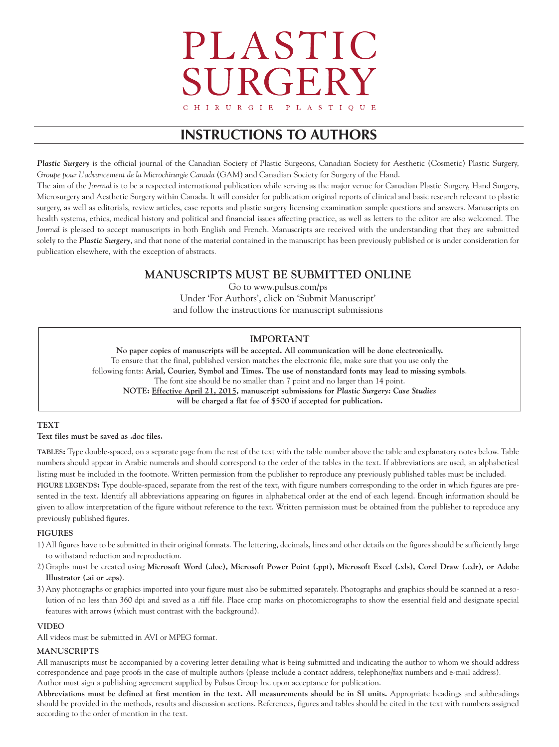# PLASTIC **SURGERY** C H I R U R G I E T I Q U E  $P L A S$

# **InstructIons to Authors**

*Plastic Surgery* is the official journal of the Canadian Society of Plastic Surgeons, Canadian Society for Aesthetic (Cosmetic) Plastic Surgery, *Groupe pour L'advancement de la Microchirurgie Canada* (GAM) and Canadian Society for Surgery of the Hand.

The aim of the *Journal* is to be a respected international publication while serving as the major venue for Canadian Plastic Surgery, Hand Surgery, Microsurgery and Aesthetic Surgery within Canada. It will consider for publication original reports of clinical and basic research relevant to plastic surgery, as well as editorials, review articles, case reports and plastic surgery licensing examination sample questions and answers. Manuscripts on health systems, ethics, medical history and political and financial issues affecting practice, as well as letters to the editor are also welcomed. The *Journal* is pleased to accept manuscripts in both English and French. Manuscripts are received with the understanding that they are submitted solely to the *Plastic Surgery*, and that none of the material contained in the manuscript has been previously published or is under consideration for publication elsewhere, with the exception of abstracts.

# **MANUSCRIPTS MUST BE SUBMITTED ONLINE**

Go to www.pulsus.com/ps Under 'For Authors', click on 'Submit Manuscript' and follow the instructions for manuscript submissions

# **IMPORTANT**

**No paper copies of manuscripts will be accepted. All communication will be done electronically.** To ensure that the final, published version matches the electronic file, make sure that you use only the following fonts: **Arial, Courier, Symbol and Times. The use of nonstandard fonts may lead to missing symbols**. The font size should be no smaller than 7 point and no larger than 14 point. **NOTE: Effective April 21, 2015, manuscript submissions for** *Plastic Surgery: Case Studies* **will be charged a flat fee of \$500 if accepted for publication.**

# **TEXT**

**Text files must be saved as .doc files.**

**TABLES:** Type double-spaced, on a separate page from the rest of the text with the table number above the table and explanatory notes below. Table numbers should appear in Arabic numerals and should correspond to the order of the tables in the text. If abbreviations are used, an alphabetical listing must be included in the footnote. Written permission from the publisher to reproduce any previously published tables must be included. **FIgURE LEgENDS:** Type double-spaced, separate from the rest of the text, with figure numbers corresponding to the order in which figures are presented in the text. Identify all abbreviations appearing on figures in alphabetical order at the end of each legend. Enough information should be given to allow interpretation of the figure without reference to the text. Written permission must be obtained from the publisher to reproduce any previously published figures.

## **FIgURES**

- 1) All figures have to be submitted in their original formats. The lettering, decimals, lines and other details on the figures should be sufficiently large to withstand reduction and reproduction.
- 2) Graphs must be created using **Microsoft Word (.doc), Microsoft Power Point (.ppt), Microsoft Excel (.xls), Corel Draw (.cdr), or Adobe Illustrator (.ai or .eps)**.
- 3) Any photographs or graphics imported into your figure must also be submitted separately. Photographs and graphics should be scanned at a resolution of no less than 360 dpi and saved as a .tiff file. Place crop marks on photomicrographs to show the essential field and designate special features with arrows (which must contrast with the background).

## **VIDEO**

All videos must be submitted in AVI or MPEG format.

## **MANUSCRIPTS**

All manuscripts must be accompanied by a covering letter detailing what is being submitted and indicating the author to whom we should address correspondence and page proofs in the case of multiple authors (please include a contact address, telephone/fax numbers and e-mail address). Author must sign a publishing agreement supplied by Pulsus Group Inc upon acceptance for publication.

**Abbreviations must be defined at first mention in the text. All measurements should be in SI units.** Appropriate headings and subheadings should be provided in the methods, results and discussion sections. References, figures and tables should be cited in the text with numbers assigned according to the order of mention in the text.